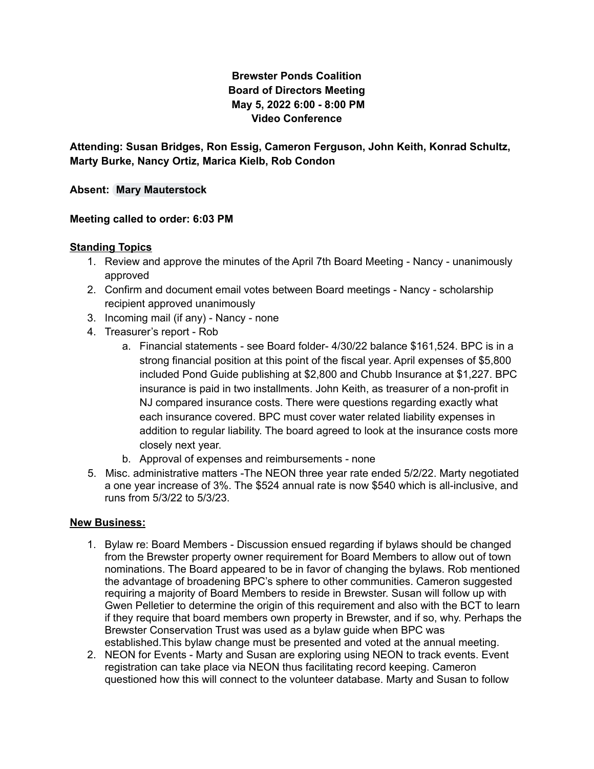# **Brewster Ponds Coalition Board of Directors Meeting May 5, 2022 6:00 - 8:00 PM Video Conference**

**Attending: Susan Bridges, Ron Essig, Cameron Ferguson, John Keith, Konrad Schultz, Marty Burke, Nancy Ortiz, Marica Kielb, Rob Condon**

**Absent: Mary [Mauterstock](mailto:mary.mauterstock@brewsterponds.org)**

### **Meeting called to order: 6:03 PM**

### **Standing Topics**

- 1. Review and approve the minutes of the April 7th Board Meeting Nancy unanimously approved
- 2. Confirm and document email votes between Board meetings Nancy scholarship recipient approved unanimously
- 3. Incoming mail (if any) Nancy none
- 4. Treasurer's report Rob
	- a. Financial statements see Board folder- 4/30/22 balance \$161,524. BPC is in a strong financial position at this point of the fiscal year. April expenses of \$5,800 included Pond Guide publishing at \$2,800 and Chubb Insurance at \$1,227. BPC insurance is paid in two installments. John Keith, as treasurer of a non-profit in NJ compared insurance costs. There were questions regarding exactly what each insurance covered. BPC must cover water related liability expenses in addition to regular liability. The board agreed to look at the insurance costs more closely next year.
	- b. Approval of expenses and reimbursements none
- 5. Misc. administrative matters -The NEON three year rate ended 5/2/22. Marty negotiated a one year increase of 3%. The \$524 annual rate is now \$540 which is all-inclusive, and runs from 5/3/22 to 5/3/23.

#### **New Business:**

- 1. Bylaw re: Board Members Discussion ensued regarding if bylaws should be changed from the Brewster property owner requirement for Board Members to allow out of town nominations. The Board appeared to be in favor of changing the bylaws. Rob mentioned the advantage of broadening BPC's sphere to other communities. Cameron suggested requiring a majority of Board Members to reside in Brewster. Susan will follow up with Gwen Pelletier to determine the origin of this requirement and also with the BCT to learn if they require that board members own property in Brewster, and if so, why. Perhaps the Brewster Conservation Trust was used as a bylaw guide when BPC was established.This bylaw change must be presented and voted at the annual meeting.
- 2. NEON for Events Marty and Susan are exploring using NEON to track events. Event registration can take place via NEON thus facilitating record keeping. Cameron questioned how this will connect to the volunteer database. Marty and Susan to follow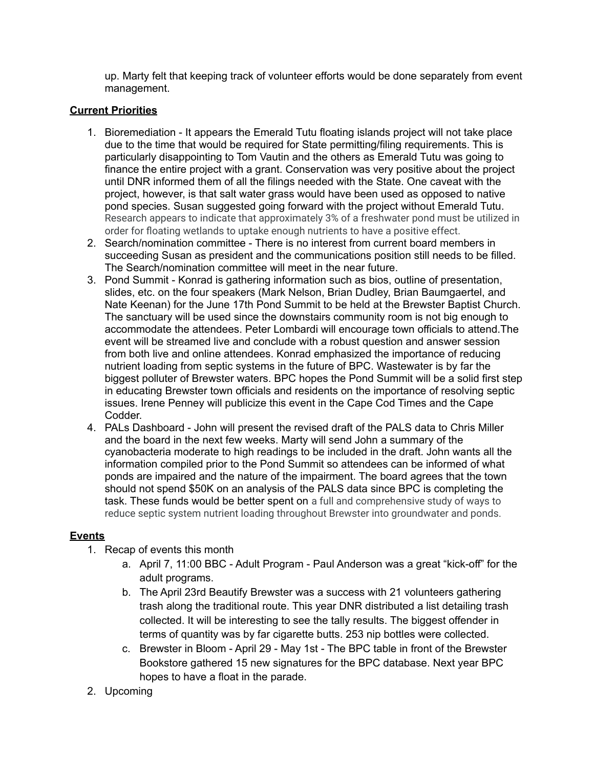up. Marty felt that keeping track of volunteer efforts would be done separately from event management.

## **Current Priorities**

- 1. Bioremediation It appears the Emerald Tutu floating islands project will not take place due to the time that would be required for State permitting/filing requirements. This is particularly disappointing to Tom Vautin and the others as Emerald Tutu was going to finance the entire project with a grant. Conservation was very positive about the project until DNR informed them of all the filings needed with the State. One caveat with the project, however, is that salt water grass would have been used as opposed to native pond species. Susan suggested going forward with the project without Emerald Tutu. Research appears to indicate that approximately 3% of a freshwater pond must be utilized in order for floating wetlands to uptake enough nutrients to have a positive effect.
- 2. Search/nomination committee There is no interest from current board members in succeeding Susan as president and the communications position still needs to be filled. The Search/nomination committee will meet in the near future.
- 3. Pond Summit Konrad is gathering information such as bios, outline of presentation, slides, etc. on the four speakers (Mark Nelson, Brian Dudley, Brian Baumgaertel, and Nate Keenan) for the June 17th Pond Summit to be held at the Brewster Baptist Church. The sanctuary will be used since the downstairs community room is not big enough to accommodate the attendees. Peter Lombardi will encourage town officials to attend.The event will be streamed live and conclude with a robust question and answer session from both live and online attendees. Konrad emphasized the importance of reducing nutrient loading from septic systems in the future of BPC. Wastewater is by far the biggest polluter of Brewster waters. BPC hopes the Pond Summit will be a solid first step in educating Brewster town officials and residents on the importance of resolving septic issues. Irene Penney will publicize this event in the Cape Cod Times and the Cape Codder.
- 4. PALs Dashboard John will present the revised draft of the PALS data to Chris Miller and the board in the next few weeks. Marty will send John a summary of the cyanobacteria moderate to high readings to be included in the draft. John wants all the information compiled prior to the Pond Summit so attendees can be informed of what ponds are impaired and the nature of the impairment. The board agrees that the town should not spend \$50K on an analysis of the PALS data since BPC is completing the task. These funds would be better spent on a full and comprehensive study of ways to reduce septic system nutrient loading throughout Brewster into groundwater and ponds.

#### **Events**

- 1. Recap of events this month
	- a. April 7, 11:00 BBC Adult Program Paul Anderson was a great "kick-off" for the adult programs.
	- b. The April 23rd Beautify Brewster was a success with 21 volunteers gathering trash along the traditional route. This year DNR distributed a list detailing trash collected. It will be interesting to see the tally results. The biggest offender in terms of quantity was by far cigarette butts. 253 nip bottles were collected.
	- c. Brewster in Bloom April 29 May 1st The BPC table in front of the Brewster Bookstore gathered 15 new signatures for the BPC database. Next year BPC hopes to have a float in the parade.
- 2. Upcoming